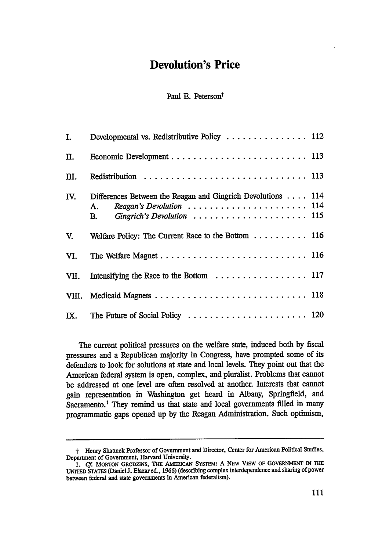## Paul E. Peterson<sup>t</sup>

| I.   | Developmental vs. Redistributive Policy 112                                                                                                                     |  |
|------|-----------------------------------------------------------------------------------------------------------------------------------------------------------------|--|
| II.  |                                                                                                                                                                 |  |
| Ш.   |                                                                                                                                                                 |  |
| IV.  | Differences Between the Reagan and Gingrich Devolutions 114<br>A.,<br>Gingrich's Devolution $\ldots \ldots \ldots \ldots \ldots \ldots \ldots 115$<br><b>B.</b> |  |
| V.   | Welfare Policy: The Current Race to the Bottom 116                                                                                                              |  |
| VI.  |                                                                                                                                                                 |  |
| VII. |                                                                                                                                                                 |  |
|      |                                                                                                                                                                 |  |
|      |                                                                                                                                                                 |  |

The current political pressures on the welfare state, induced both **by** fiscal pressures and a Republican majority in Congress, have prompted some of its defenders to look for solutions at state and local levels. They point out that the American federal system is open, complex, and pluralist. Problems that cannot be addressed at one level are often resolved at another. Interests that cannot gain representation in Washington get heard in Albany, Springfield, and Sacramento.<sup>1</sup> They remind us that state and local governments filled in many programmatic gaps opened up by the Reagan Administration. Such optimism,

t Henry Shattuck Professor of Government and Director, Center for American Political Studies, Department of Government, Harvard University.

**<sup>1.</sup>** *Cf.* MORTON GRODZINS, **THE** AMERICAN SYSTEM: A NEW VIEW OF GOVERNMENT IN THE **UNITED STATES** (Daniel **J.** Elazar ed., **1966)** (describing complex interdependence and sharing of power between federal and state governments in American federalism).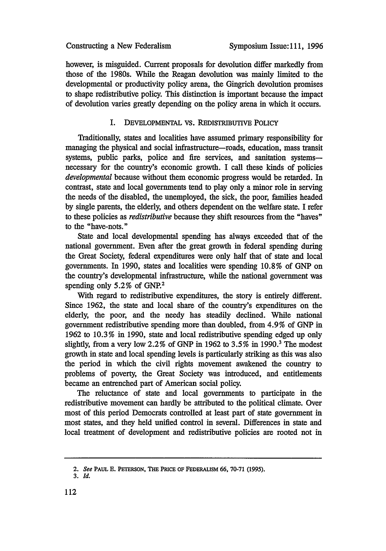#### Constructing a New Federalism

however, is misguided. Current proposals for devolution differ markedly from those of the 1980s. While the Reagan devolution was mainly limited to the developmental or productivity policy arena, the Gingrich devolution promises to shape redistributive policy. This distinction is important because the impact of devolution varies greatly depending on the policy arena in which it occurs.

## I. **DEVELOPMENTAL** VS. REDISTRIBUTIVE POLICY

Traditionally, states and localities have assumed primary responsibility for managing the physical and social infrastructure-roads, education, mass transit systems, public parks, police and fire services, and sanitation systems necessary for the country's economic growth. I call these kinds of policies *developmental* because without them economic progress would be retarded. In contrast, state and local governments tend to play only a minor role in serving the needs of the disabled, the unemployed, the sick, the poor, families headed by single parents, the elderly, and others dependent on the welfare state. I refer to these policies as *redistributive* because they shift resources from the "haves" to the "have-nots."

State and local developmental spending has always exceeded that of the national government. Even after the great growth in federal spending during the Great Society, federal expenditures were only half that of state and local governments. In 1990, states and localities were spending 10.8% of GNP on the country's developmental infrastructure, while the national government was spending only 5.2% of GNP.<sup>2</sup>

With regard to redistributive expenditures, the story is entirely different. Since 1962, the state and local share of the country's expenditures on the elderly, the poor, and the needy has steadily declined. While national government redistributive spending more than doubled, from 4.9% of GNP in 1962 to 10.3% in 1990, state and local redistributive spending edged up only slightly, from a very low  $2.2\%$  of GNP in 1962 to  $3.5\%$  in 1990.<sup>3</sup> The modest growth in state and local spending levels is particularly striking as this was also the period in which the civil rights movement awakened the country to problems of poverty, the Great Society was introduced, and entitlements became an entrenched part of American social policy.

The reluctance of state and local governments to participate in the redistributive movement can hardly be attributed **to** the political climate. Over most of this period Democrats controlled at least part of state government in most states, and they held unified control in several. Differences in state and local treatment of development and redistributive policies are rooted not in

*<sup>2.</sup> See* PAUL **E.** PETERSON, **THE** PRICE OF FEDERALISM **66,** 70-71 (1995).

*<sup>3.</sup> Id.*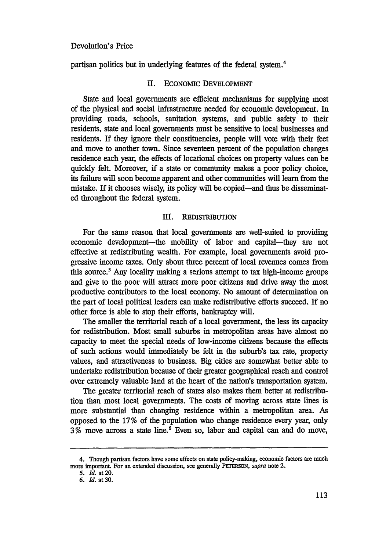partisan politics but in underlying features of the federal system. <sup>4</sup>

#### **II.** ECONOMIC DEVELOPMENT

State and local governments are efficient mechanisms for supplying most of the physical and social infrastructure needed for economic development. In providing roads, schools, sanitation systems, and public safety to their residents, state and local governments must be sensitive to local businesses and residents. If they ignore their constituencies, people will vote with their feet and move to another town. Since seventeen percent of the population changes residence each year, the effects of locational choices on property values can be quickly felt. Moreover, if a state or community makes a poor policy choice, its failure will soon become apparent and other communities will learn from the mistake. If it chooses wisely, its policy will be copied-and thus be disseminated throughout the federal system.

## III. REDISTRIBUTION

For the same reason that local governments are well-suited to providing economic development-the mobility of labor and capital-they are not effective at redistributing wealth. For example, local governments avoid progressive income taxes. Only about three percent of local revenues comes from this source.5 Any locality making a serious attempt to tax high-income groups and give to the poor will attract more poor citizens and drive away the most productive contributors to the local economy. No amount of determination on the part of local political leaders can make redistributive efforts succeed. If no other force is able to stop their efforts, bankruptcy will.

The smaller the territorial reach of a local government, the less its capacity for redistribution. Most small suburbs in metropolitan areas have almost no capacity to meet the special needs of low-income citizens because the effects of such actions would immediately be felt in the suburb's tax rate, property values, and attractiveness to business. Big cities are somewhat better able to undertake redistribution because of their greater geographical reach and control over extremely valuable land at the heart of the nation's transportation system.

The greater territorial reach of states also makes them better at redistribution than most local governments. The costs of moving across state lines is more substantial than changing residence within a metropolitan area. As opposed to the 17% of the population who change residence every year, only **<sup>3</sup>**% move across a state line.6 Even so, labor and capital can and do move,

*5. Id.* at **20.**

<sup>4.</sup> Though partisan factors have some effects on state policy-making, economic factors are much more important. For an extended discussion, see generally PErERSON, *supra* note 2.

*<sup>6.</sup> Id.* at30.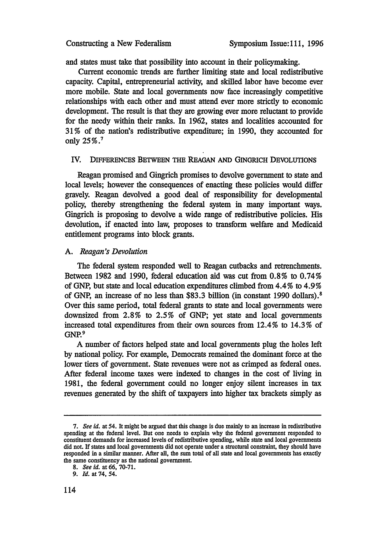and states must take that possibility into account in their policymaking.

Current economic trends are further limiting state and local redistributive capacity. Capital, entrepreneurial activity, and skilled labor have become ever more mobile. State and local governments now face increasingly competitive relationships with each other and must attend ever more strictly to economic development. The result is that they are growing ever more reluctant to provide for the needy within their ranks. In 1962, states and localities accounted for 31% of the nation's redistributive expenditure; in 1990, they accounted for only *25%. <sup>7</sup>*

#### IV. DIFFERENCES **BETWEEN** THE REAGAN **AND** GINGRICH DEVOLUTIONS

Reagan promised and Gingrich promises to devolve government to state and local levels; however the consequences of enacting these policies would differ gravely. Reagan devolved a good deal of responsibility for developmental policy, thereby strengthening the federal system in many important ways. Gingrich is proposing to devolve a wide range of redistributive policies. His devolution, if enacted into law, proposes to transform welfare and Medicaid entitlement programs into block grants.

#### *A. Reagan's Devolution*

The federal system responded well to Reagan cutbacks and retrenchments. Between 1982 and 1990, federal education aid was cut from 0.8% to 0.74% of **GNP,** but state and local education expenditures climbed from 4.4% to 4.9% of GNP, an increase of no less than \$83.3 billion (in constant 1990 dollars).<sup>8</sup> Over this same period, total federal grants to state and local governments were downsized from 2.8% to 2.5% of **GNP;** yet state and local governments increased total expenditures from their own sources from 12.4% to 14.3% of **GNP.9**

A number of factors helped state and local governments plug the holes left by national policy. For example, Democrats remained the dominant force at the lower tiers of government. State revenues were not as crimped as federal ones. After federal income taxes were indexed to changes in the cost of living in 1981, the federal government could no longer enjoy silent increases in tax revenues generated by the shift of taxpayers into higher tax brackets simply as

*<sup>7.</sup> See id.* at 54. It might be argued that this change is due mainly to an increase in redistributive spending at the federal level. But one needs to explain why the federal government responded to constituent demands for increased levels of redistributive spending, while state and local governments did not. If states and local governments did not operate under a structural constraint, they should have responded in a similar manner. After all, the sum total of all state and local governments has exactly the same constituency as the national government.

*<sup>8.</sup> See id.* at **66,** 70-71.

*<sup>9.</sup> Id.* at 74, 54.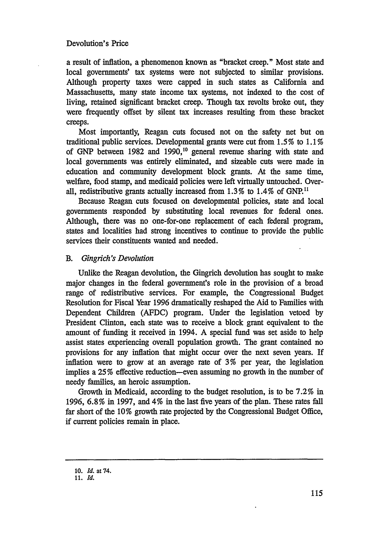a result of inflation, a phenomenon known as "bracket creep." Most state and local governments' tax systems were not subjected to similar provisions. Although property taxes were capped in such states as California and Massachusetts, many state income tax systems, not indexed to the cost of living, retained significant bracket creep. Though tax revolts broke out, they were frequently offset by silent tax increases resulting from these bracket creeps.

Most importantly, Reagan cuts focused not on the safety net but on traditional public services. Developmental grants were cut from 1.5 % to 1.1% of GNP between 1982 and 1990,10 general revenue sharing with state and local governments was entirely eliminated, and sizeable cuts were made in education and community development block grants. At the same time, welfare, food stamp, and medicaid policies were left virtually untouched. Overall, redistributive grants actually increased from **1.3%** to 1.4% of GNP."'

Because Reagan cuts focused on developmental policies, state and local governments responded by substituting local revenues for federal ones. Although, there was no one-for-one replacement of each federal program, states and localities had strong incentives to continue to provide the public services their constituents wanted and needed.

## *B. Gingrich's Devolution*

Unlike the Reagan devolution, the Gingrich devolution has sought to make major changes in the federal government's role in the provision of a broad range of redistributive services. For example, the Congressional Budget Resolution for Fiscal Year 1996 dramatically reshaped the Aid to Families with Dependent Children (AFDC) program. Under the legislation vetoed by President Clinton, each state was to receive a block grant equivalent to the amount of funding it received in 1994. A special fund was set aside to help assist states experiencing overall population growth. The grant contained no provisions for any inflation that might occur over the next seven years. If inflation were to grow at an average rate of 3% per year, the legislation implies a 25 % effective reduction-even assuming no growth in the number of needy families, an heroic assumption.

Growth in Medicaid, according to the budget resolution, is to be 7.2% in 1996, 6.8% in 1997, and 4% in the last five years of the plan. These rates fall far short of the 10% growth rate projected by the Congressional Budget Office, if current policies remain in place.

**<sup>10.</sup>** *Id.* at 74.

*<sup>11.</sup> Id.*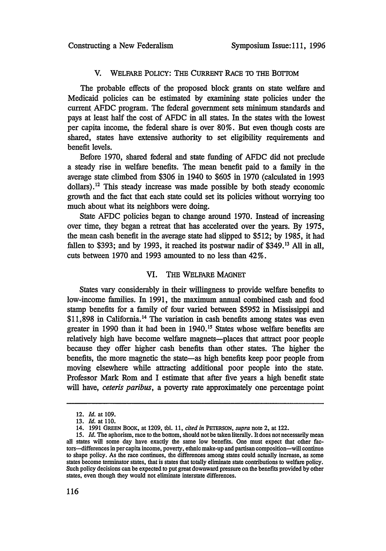# V. WELFARE POLICY: **THE** CURRENT **RACE** TO **THE BOTIoM**

The probable effects of the proposed block grants on state welfare and Medicaid policies can be estimated by examining state policies under the current AFDC program. The federal government sets minimum standards and pays at least half the cost of AFDC in all states. In the states with the lowest per capita income, the federal share is over 80%. But even though costs are shared, states have extensive authority to set eligibility requirements and benefit levels.

Before 1970, shared federal and state funding of AFDC did not preclude a steady rise in welfare benefits. The mean benefit paid to a family in the average state climbed from \$306 in 1940 to \$605 in 1970 (calculated in 1993  $dollars)$ .<sup>12</sup> This steady increase was made possible by both steady economic growth and the fact that each state could set its policies without worrying too much about what its neighbors were doing.

State AFDC policies began to change around 1970. Instead of increasing over time, they began a retreat that has accelerated over the years. By 1975, the mean cash benefit in the average state had slipped to \$512; by 1985, it had fallen to \$393; and by 1993, it reached its postwar nadir of \$349.<sup>13</sup> All in all, cuts between 1970 and 1993 amounted to no less than 42%.

## VI. THE WELFARE **MAGNET**

States vary considerably in their willingness to provide welfare benefits to low-income families. In 1991, the maximum annual combined cash and food stamp benefits for a family of four varied between \$5952 in Mississippi and \$11,898 in California.<sup>14</sup> The variation in cash benefits among states was even greater in 1990 than it had been in 1940.<sup>15</sup> States whose welfare benefits are relatively high have become welfare magnets-places that attract poor people because they offer higher cash benefits than other states. The higher the benefits, the more magnetic the state-as high benefits keep poor people from moving elsewhere while attracting additional poor people into the state. Professor Mark Rom and I estimate that after five years a high benefit state will have, ceteris *paribus,* a poverty rate approximately one percentage point

<sup>12.</sup> *Id.* at 109.

<sup>13.</sup> *Id.* at 110.

<sup>14. 1991</sup> **GREEN** BOOK, at 1209, tbl. 11, *cited in* **PETERSON,** *supra* note 2, at 122.

<sup>15.</sup> *Id.* The aphorism, race to the bottom, should not be taken literally. It does not necessarily mean all states will some day have exactly the same low benefits. One must expect that other factors-differences in per capita income, poverty, ethnic make-up and partisan composition-will continue to shape policy. As the race continues, the differences among states could actually increase, as some states become terminator states, that is states that totally eliminate state contributions to welfare policy. Such policy decisions can be expected to put great downward pressure on the benefits provided by other states, even though they would not eliminate interstate differences.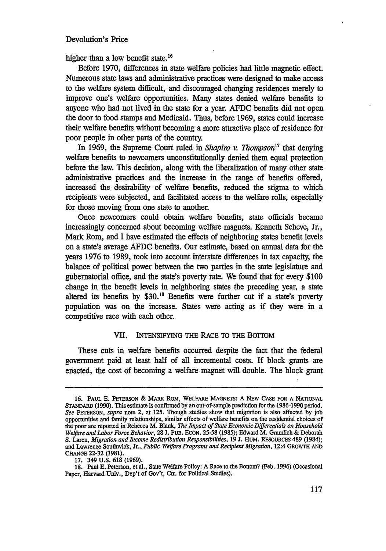higher than a low benefit state.<sup>16</sup>

Before 1970, differences in state welfare policies had little magnetic effect. Numerous state laws and administrative practices were designed to make access to the welfare system difficult, and discouraged changing residences merely to improve one's welfare opportunities. Many states denied welfare benefits to anyone who had not lived in the state for a year. AFDC benefits did not open the door to food stamps and Medicaid. Thus, before 1969, states could increase their welfare benefits without becoming a more attractive place of residence for poor people in other parts of the country.

In 1969, the Supreme Court ruled in *Shapiro v. Thompson"7* that denying welfare benefits to newcomers unconstitutionally denied them equal protection before the law. This decision, along with the liberalization of many other state administrative practices and the increase in the range of benefits offered, increased the desirability of welfare benefits, reduced the stigma to which recipients were subjected, and facilitated access to the welfare rolls, especially for those moving from one state to another.

Once newcomers could obtain welfare benefits, state officials became increasingly concerned about becoming welfare magnets. Kenneth Scheve, Jr., Mark Rom, and I have estimated the effects of neighboring states benefit levels on a state's average AFDC benefits. Our estimate, based on annual data for the years 1976 to 1989, took into account interstate differences in tax capacity, the balance of political power between the two parties in the state legislature and gubernatorial office, and the state's poverty rate. We found that for every \$100 change in the benefit levels in neighboring states the preceding year, a state altered its benefits by  $$30$ .<sup>18</sup> Benefits were further cut if a state's poverty population was on the increase. States were acting as if they were in a competitive race with each other.

#### VII. **INTENSIFYING THE RACE TO THE BOTTOM**

These cuts in welfare benefits occurred despite the fact that the federal government paid at least half of all incremental costs. If block grants are enacted, the cost of becoming a welfare magnet will double. The block grant

**<sup>16.</sup> PAUL E.** PETERSON & MARK ROM, WELFARE MAGNETS: A **NEW CASE FOR A NATIONAL** STANDARD **(1990).** This estimate is confirmed **by** an out-of-sample prediction for the **1986-1990** period. *See PETERSON, supra* note 2, at 125. Though studies show that migration is also affected by job opportunities and family relationships, similar effects of welfare benefits on the residential choices of the poor are reported in Rebecca M. Blank, *The Impact of State Economic Differentials on Household Welfare and Labor Force Behavior,* **28 J. PUB.** ECON. 25-58 (1985); Edward M. Gramlich **&** Deborah **S.** Laren, *Migration and Income Redistribution Responsibilities,* 19 **J.** HuM. RESOURCES 489 (1984); and Lawrence Southwick, Jr., *Public Welfare Programs and Recipient Migration,* 12:4 GROWTH **AND CHANGE 22-32 (1981).**

**<sup>17.</sup>** 349 **U.S.** 618 **(1969).**

**<sup>18.</sup>** Paul **E.** Peterson, et al., State Welfare Policy: **A** Race to the Bottom? (Feb. **1996)** (Occasional Paper, Harvard Univ., Dep't of Gov't, Ctr. for Political Studies).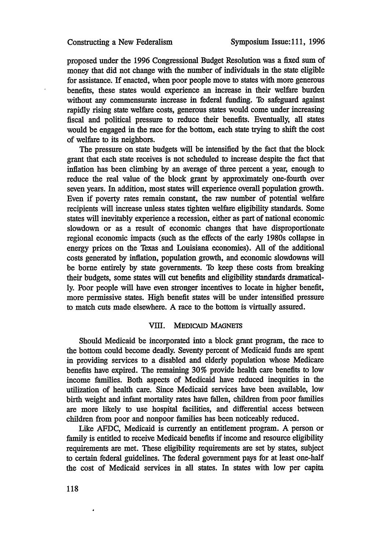proposed under the **1996** Congressional Budget Resolution was a fixed sum of money that did not change with the number of individuals in the state eligible for assistance. If enacted, when poor people move to states with more generous benefits, these states would experience an increase in their welfare burden without any commensurate increase in federal funding. To safeguard against rapidly rising state welfare costs, generous states would come under increasing fiscal and political pressure to reduce their benefits. Eventually, all states would be engaged in the race for the bottom, each state trying to shift the cost of welfare to its neighbors.

The pressure on state budgets will be intensified by the fact that the block grant that each state receives is not scheduled to increase despite the fact that inflation has been climbing by an average of three percent a year, enough to reduce the real value of the block grant by approximately one-fourth over seven years. In addition, most states will experience overall population growth. Even if poverty rates remain constant, the raw number of potential welfare recipients will increase unless states tighten welfare eligibility standards. Some states will inevitably experience a recession, either as part of national economic slowdown or as a result of economic changes that have disproportionate regional economic impacts (such as the effects of the early 1980s collapse in energy prices on the Texas and Louisiana economies). All of the additional costs generated by inflation, population growth, and economic slowdowns will be borne entirely by state governments. To keep these costs from breaking their budgets, some states will cut benefits and eligibility standards dramatically. Poor people will have even stronger incentives to locate in higher benefit, more permissive states. High benefit states will be under intensified pressure to match cuts made elsewhere. A race to the bottom is virtually assured.

#### VIII. MEDICAID **MAGNETS**

Should Medicaid be incorporated into a block grant program, the race to the bottom could become deadly. Seventy percent of Medicaid funds are spent in providing services to a disabled and elderly population whose Medicare benefits have expired. The remaining 30% provide health care benefits to low income families. Both aspects of Medicaid have reduced inequities in the utilization of health care. Since Medicaid services have been available, low birth weight and infant mortality rates have fallen, children from poor families are more likely to use hospital facilities, and differential access between children from poor and nonpoor families has been noticeably reduced.

Like AFDC, Medicaid is currently an entitlement program. A person or family is entitled to receive Medicaid benefits if income and resource eligibility requirements are met. These eligibility requirements are set by states, subject to certain federal guidelines. The federal government pays for at least one-half the cost of Medicaid services in all states. In states with low per capita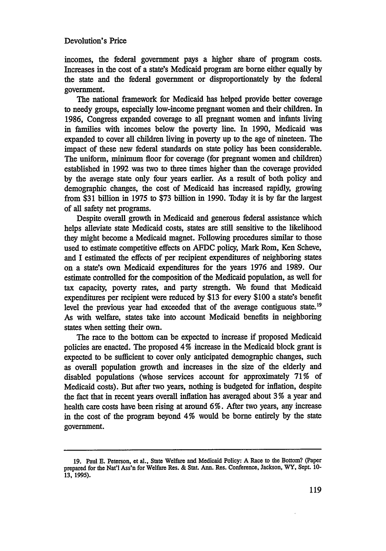incomes, the federal government pays a higher share of program costs. Increases in the cost of a state's Medicaid program are borne either equally by the state and the federal government or disproportionately by the federal government.

The national framework for Medicaid has helped provide better coverage to needy groups, especially low-income pregnant women and their children. In 1986, Congress expanded coverage to all pregnant women and infants living in families with incomes below the poverty line. In 1990, Medicaid was expanded to cover all children living in poverty up to the age of nineteen. The impact of these new federal standards on state policy has been considerable. The uniform, minimum floor for coverage (for pregnant women and children) established in 1992 was two to three times higher **than** the coverage provided by the average state only four years earlier. As a result of both policy and demographic changes, the cost of Medicaid has increased rapidly, growing from \$31 billion in 1975 to \$73 billion in 1990. Today it is by far the largest of all safety net programs.

Despite overall growth in Medicaid and generous federal assistance which helps alleviate state Medicaid costs, states are still sensitive to the likelihood they might become a Medicaid magnet. Following procedures similar to those used to estimate competitive effects on AFDC policy, Mark Rom, Ken Scheve, and I estimated the effects of per recipient expenditures of neighboring states on a state's own Medicaid expenditures for the years 1976 and 1989. Our estimate controlled for the composition of the Medicaid population, as well for tax capacity, poverty rates, and party strength. We found that Medicaid expenditures per recipient were reduced by \$13 for every \$100 a state's benefit level the previous year had exceeded that of the average contiguous state. <sup>19</sup> As with welfare, states take into account Medicaid benefits in neighboring states when setting their own.

The race to the bottom can be expected to increase if proposed Medicaid policies are enacted. The proposed 4% increase in the Medicaid block grant is expected to be sufficient to cover only anticipated demographic changes, such as overall population growth and increases in the size of the elderly and disabled populations (whose services account for approximately 71% of Medicaid costs). But after two years, nothing is budgeted for inflation, despite the fact that in recent years overall inflation has averaged about 3 % a year and health care costs have been rising at around 6%. After two years, any increase in the cost of the program beyond 4% would be borne entirely by the state government.

**<sup>19.</sup>** Paul **E.** Peterson, et al., State Welfare and Medicaid Policy: **A** Race to the Bottom? (Paper prepared for the Nat'l Ass'n for Welfare Res. & Stat. Ann. Res. Conference, Jackson, WY, Sept. 10- **13,** 1995).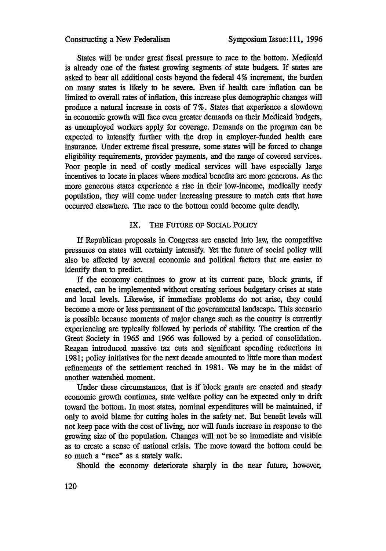States will be under great fiscal pressure to race to the bottom. Medicaid is already one of the fastest growing segments of state budgets. If states are asked to bear all additional costs beyond the federal 4% increment, the burden on many states is likely to be severe. Even if health care inflation can be limited to overall rates of inflation, this increase plus demographic changes will produce a natural increase in costs of 7%. States that experience a slowdown in economic growth will face even greater demands on their Medicaid budgets, as unemployed workers apply for coverage. Demands on the program can be expected to intensify further with the drop in employer-funded health care insurance. Under extreme fiscal pressure, some states will be forced to change eligibility requirements, provider payments, and the range of covered services. Poor people in need of costly medical services will have especially large incentives to locate in places where medical benefits are more generous. As the more generous states experience a rise in their low-income, medically needy population, they will come under increasing pressure to match cuts that have occurred elsewhere. The race to the bottom could become quite deadly.

#### IX. THE FUTURE OF SOCIAL POLICY

If Republican proposals in Congress are enacted into law, the competitive pressures on states will certainly intensify. Yet the future of social policy will also be affected by several economic and political factors that are easier to identify than to predict.

If the economy continues to grow at its current pace, block grants, if enacted, can be implemented without creating serious budgetary crises at state and local levels. Likewise, if immediate problems do not arise, they could become a more or less permanent of the governmental landscape. This scenario is possible because moments of major change such as the country is currently experiencing are typically followed by periods of stability. The creation of the Great Society in 1965 and 1966 was followed by a period of consolidation. Reagan introduced massive tax cuts and significant spending reductions in 1981; policy initiatives for the next decade amounted to little more than modest refinements of the settlement reached in 1981. We may be in the midst of another watershed moment.

Under these circumstances, that is if block grants are enacted and steady economic growth continues, state welfare policy can be expected only to drift toward the bottom. In most states, nominal expenditures will be maintained, if only to avoid blame for cutting holes in the safety net. But benefit levels will not keep pace with the cost of living, nor will funds increase in response to the growing size of the population. Changes will not be so immediate and visible as to create a sense of national crisis. The move toward the bottom could be so much a "race" as a stately walk.

Should the economy deteriorate sharply in the near future, however,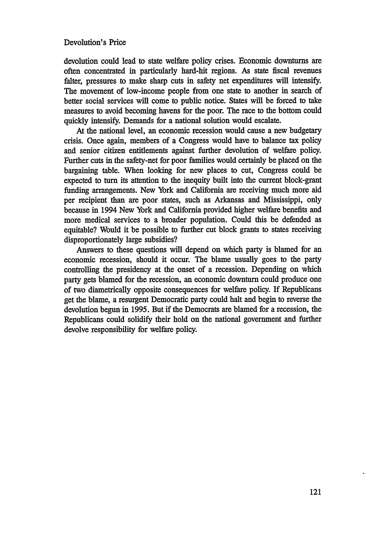devolution could lead to state welfare policy crises. Economic downturns are often concentrated in particularly hard-hit regions. As state fiscal revenues falter, pressures to make sharp cuts in safety net expenditures will intensify. The movement of low-income people from one state to another in search of better social services will come to public notice. States will be forced to take measures to avoid becoming havens for the poor. The race to the bottom could quickly intensify. Demands for a national solution would escalate.

At the national level, an economic recession would cause a new budgetary crisis. Once again, members of a Congress would have to balance tax policy and senior citizen entitlements against further devolution of welfare policy. Further cuts in the safety-net for poor families would certainly be placed on the bargaining table. When looking for new places to cut, Congress could be expected to turn its attention to the inequity built into the current block-grant funding arrangements. New York and California are receiving much more aid per recipient than are poor states, such as Arkansas and Mississippi, only because in 1994 New York and California provided higher welfare benefits and more medical services to a broader population. Could this be defended as equitable? Would it be possible to further cut block grants to states receiving disproportionately large subsidies?

Answers to these questions will depend on which party is blamed for an economic recession, should it occur. The blame usually goes to the party controlling the presidency at the onset of a recession. Depending on which party gets blamed for the recession, an economic downturn could produce one of two diametrically opposite consequences for welfare policy. If Republicans get the blame, a resurgent Democratic party could halt and begin to reverse the devolution begun in 1995. But if the Democrats are blamed for a recession, the Republicans could solidify their hold on the national government and further devolve responsibility for welfare policy.